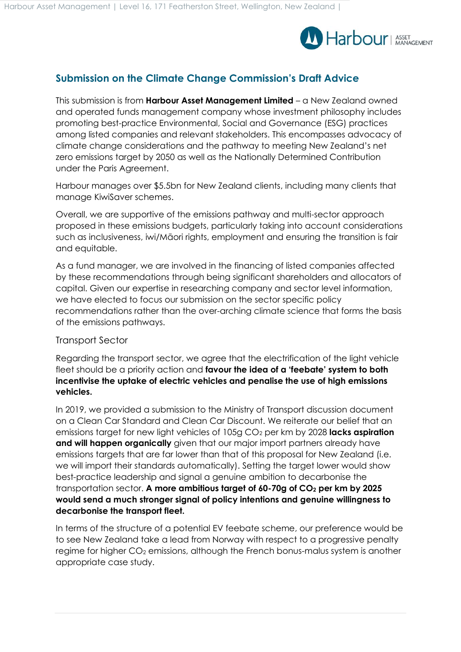

## **Submission on the Climate Change Commission's Draft Advice**

This submission is from **Harbour Asset Management Limited** – a New Zealand owned and operated funds management company whose investment philosophy includes promoting best-practice Environmental, Social and Governance (ESG) practices among listed companies and relevant stakeholders. This encompasses advocacy of climate change considerations and the pathway to meeting New Zealand's net zero emissions target by 2050 as well as the Nationally Determined Contribution under the Paris Agreement.

Harbour manages over \$5.5bn for New Zealand clients, including many clients that manage KiwiSaver schemes.

Overall, we are supportive of the emissions pathway and multi-sector approach proposed in these emissions budgets, particularly taking into account considerations such as inclusiveness, iwi/Māori rights, employment and ensuring the transition is fair and equitable.

As a fund manager, we are involved in the financing of listed companies affected by these recommendations through being significant shareholders and allocators of capital. Given our expertise in researching company and sector level information, we have elected to focus our submission on the sector specific policy recommendations rather than the over-arching climate science that forms the basis of the emissions pathways.

## Transport Sector

Regarding the transport sector, we agree that the electrification of the light vehicle fleet should be a priority action and **favour the idea of a 'feebate' system to both incentivise the uptake of electric vehicles and penalise the use of high emissions vehicles.**

In 2019, we provided a submission to the Ministry of Transport discussion document on a Clean Car Standard and Clean Car Discount. We reiterate our belief that an emissions target for new light vehicles of 105g CO<sup>2</sup> per km by 2028 **lacks aspiration and will happen organically** given that our major import partners already have emissions targets that are far lower than that of this proposal for New Zealand (i.e. we will import their standards automatically). Setting the target lower would show best-practice leadership and signal a genuine ambition to decarbonise the transportation sector. **A more ambitious target of 60-70g of CO<sup>2</sup> per km by 2025 would send a much stronger signal of policy intentions and genuine willingness to decarbonise the transport fleet.**

In terms of the structure of a potential EV feebate scheme, our preference would be to see New Zealand take a lead from Norway with respect to a progressive penalty regime for higher CO<sub>2</sub> emissions, although the French bonus-malus system is another appropriate case study.